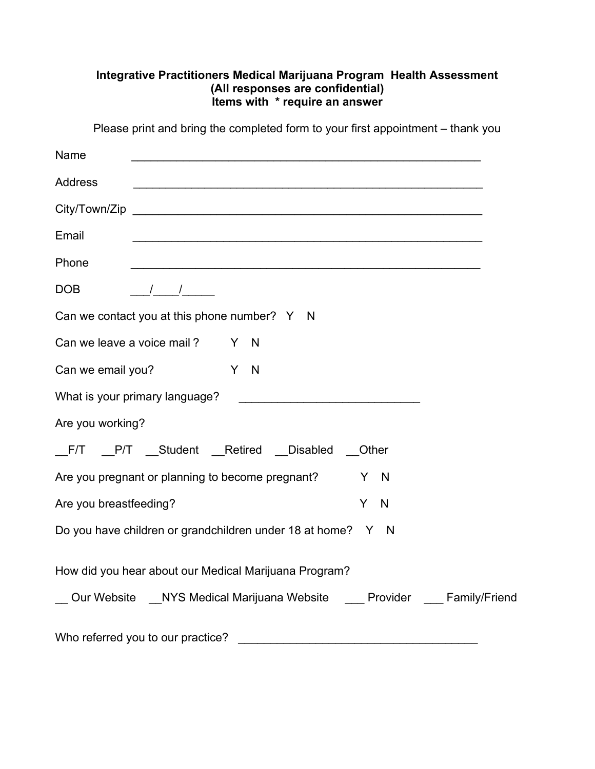| Integrative Practitioners Medical Marijuana Program Health Assessment<br>(All responses are confidential)<br>Items with * require an answer |
|---------------------------------------------------------------------------------------------------------------------------------------------|
| Please print and bring the completed form to your first appointment – thank you                                                             |
| Name                                                                                                                                        |
| <b>Address</b><br><u> 1989 - Johann Stoff, deutscher Stoffen und der Stoffen und der Stoffen und der Stoffen und der Stoffen und de</u>     |
|                                                                                                                                             |
| Email<br><u> 1989 - Johann Stoff, amerikansk politiker (* 1908)</u>                                                                         |
| Phone                                                                                                                                       |
| <b>DOB</b><br>$\frac{1}{2}$                                                                                                                 |
| Can we contact you at this phone number? Y N                                                                                                |
| Can we leave a voice mail? Y N                                                                                                              |
| Y N<br>Can we email you?                                                                                                                    |
| What is your primary language?                                                                                                              |
| Are you working?                                                                                                                            |
| __F/T __P/T __Student __Retired __Disabled __Other                                                                                          |
| Are you pregnant or planning to become pregnant?<br>Y<br>-N                                                                                 |
| Are you breastfeeding?<br>Y N                                                                                                               |
| Do you have children or grandchildren under 18 at home? Y N                                                                                 |
| How did you hear about our Medical Marijuana Program?                                                                                       |
| Our Website NYS Medical Marijuana Website Provider Family/Friend                                                                            |
| Who referred you to our practice?                                                                                                           |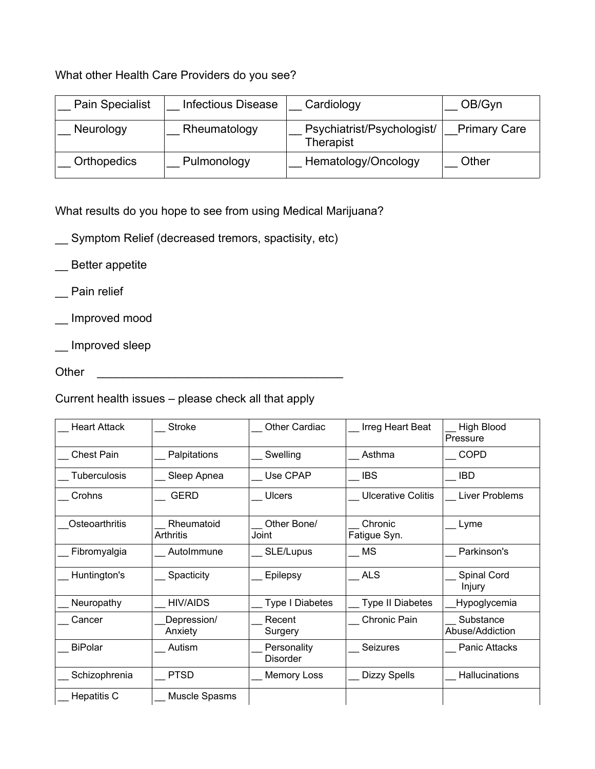## What other Health Care Providers do you see?

| <b>Pain Specialist</b> | <b>Infectious Disease</b> | Cardiology                              | OB/Gyn              |
|------------------------|---------------------------|-----------------------------------------|---------------------|
| Neurology              | Rheumatology              | Psychiatrist/Psychologist/<br>Therapist | <b>Primary Care</b> |
| Orthopedics            | Pulmonology               | Hematology/Oncology                     | Other               |

What results do you hope to see from using Medical Marijuana?

\_\_ Symptom Relief (decreased tremors, spactisity, etc)

\_\_ Better appetite

\_\_ Pain relief

\_\_ Improved mood

\_\_ Improved sleep

Other \_\_\_\_\_\_\_\_\_\_\_\_\_\_\_\_\_\_\_\_\_\_\_\_\_\_\_\_\_\_\_\_\_\_\_\_\_\_

Current health issues – please check all that apply

| <b>Heart Attack</b> | Stroke                         | <b>Other Cardiac</b>           | _ Irreg Heart Beat        | High Blood<br>Pressure       |
|---------------------|--------------------------------|--------------------------------|---------------------------|------------------------------|
| <b>Chest Pain</b>   | _ Palpitations                 | Swelling                       | Asthma                    | <b>COPD</b>                  |
| Tuberculosis        | Sleep Apnea                    | Use CPAP                       | <b>IBS</b>                | <b>IBD</b>                   |
| Crohns              | <b>GERD</b>                    | Ulcers                         | <b>Ulcerative Colitis</b> | <b>Liver Problems</b>        |
| Osteoarthritis      | Rheumatoid<br><b>Arthritis</b> | Other Bone/<br>Joint           | Chronic<br>Fatigue Syn.   | $\_$ Lyme                    |
| Fibromyalgia        | Autolmmune                     | _ SLE/Lupus                    | $\_$ MS                   | Parkinson's                  |
| _ Huntington's      | Spacticity                     | Epilepsy                       | ALS                       | Spinal Cord<br>Injury        |
| Neuropathy          | <b>HIV/AIDS</b>                | <b>Type I Diabetes</b>         | <b>Type II Diabetes</b>   | Hypoglycemia                 |
| Cancer              | Depression/<br>Anxiety         | Recent<br>Surgery              | Chronic Pain              | Substance<br>Abuse/Addiction |
| <b>BiPolar</b>      | Autism                         | Personality<br><b>Disorder</b> | Seizures                  | <b>Panic Attacks</b>         |
| Schizophrenia       | <b>PTSD</b>                    | __ Memory Loss                 | _ Dizzy Spells            | Hallucinations               |
| <b>Hepatitis C</b>  | Muscle Spasms                  |                                |                           |                              |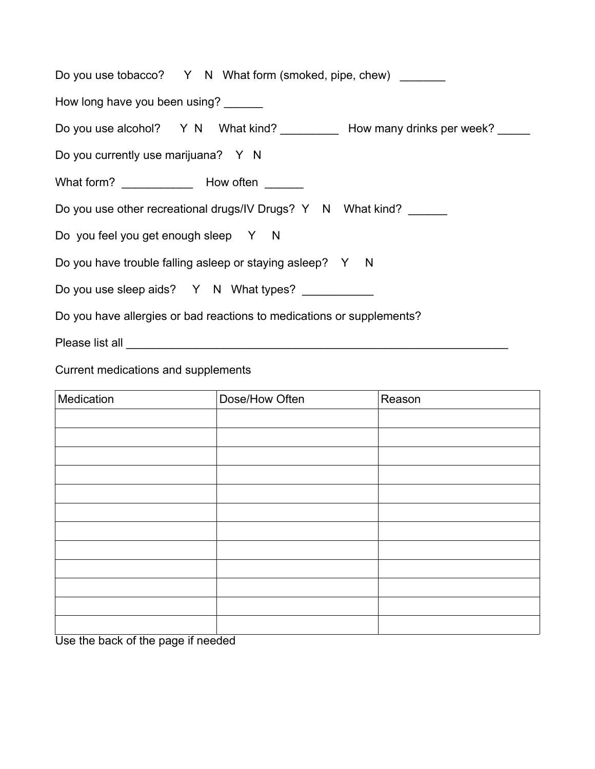| Do you use tobacco? Y N What form (smoked, pipe, chew)                         |  |  |  |
|--------------------------------------------------------------------------------|--|--|--|
| How long have you been using?                                                  |  |  |  |
| Do you use alcohol? Y N  What kind? __________ How many drinks per week? _____ |  |  |  |
| Do you currently use marijuana? Y N                                            |  |  |  |
|                                                                                |  |  |  |
| Do you use other recreational drugs/IV Drugs? Y N What kind?                   |  |  |  |
| Do you feel you get enough sleep Y N                                           |  |  |  |
| Do you have trouble falling asleep or staying asleep? Y N                      |  |  |  |
| Do you use sleep aids? Y N What types?                                         |  |  |  |
| Do you have allergies or bad reactions to medications or supplements?          |  |  |  |
|                                                                                |  |  |  |

Current medications and supplements

| Medication | Dose/How Often | Reason |
|------------|----------------|--------|
|            |                |        |
|            |                |        |
|            |                |        |
|            |                |        |
|            |                |        |
|            |                |        |
|            |                |        |
|            |                |        |
|            |                |        |
|            |                |        |
|            |                |        |
|            |                |        |

Use the back of the page if needed